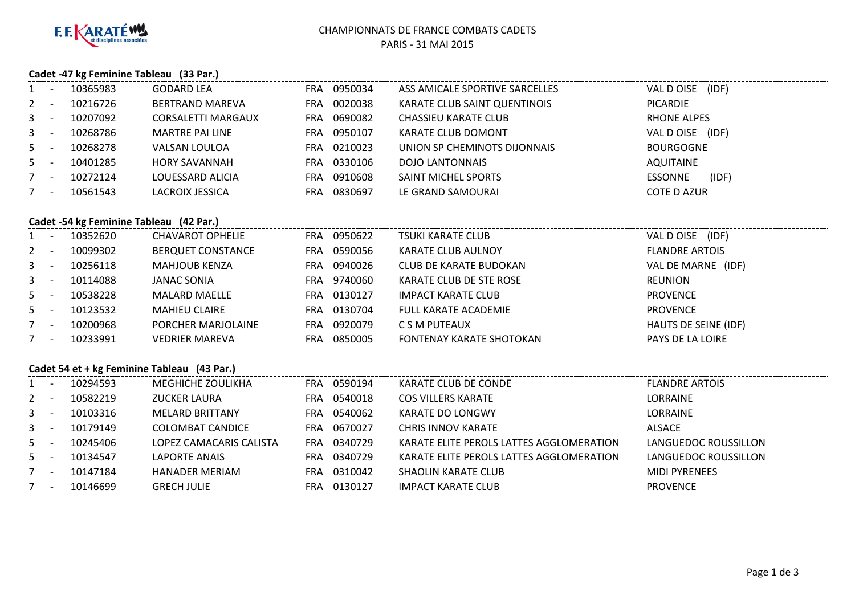

# **Cadet -47 kg Feminine Tableau (33 Par.)**

|         |                          |          |                           |            |         |                                | Cauel -47 Kg Femining Tableau (55 Part) |  |  |  |  |  |  |  |  |  |
|---------|--------------------------|----------|---------------------------|------------|---------|--------------------------------|-----------------------------------------|--|--|--|--|--|--|--|--|--|
| $1 -$   |                          | 10365983 | <b>GODARD LEA</b>         | <b>FRA</b> | 0950034 | ASS AMICALE SPORTIVE SARCELLES | VAL D OISE (IDF)                        |  |  |  |  |  |  |  |  |  |
| $2 -$   |                          | 10216726 | BERTRAND MAREVA           | <b>FRA</b> | 0020038 | KARATE CLUB SAINT QUENTINOIS   | PICARDIE                                |  |  |  |  |  |  |  |  |  |
| $3 - 5$ |                          | 10207092 | <b>CORSALETTI MARGAUX</b> | <b>FRA</b> | 0690082 | CHASSIEU KARATE CLUB           | RHONE ALPES                             |  |  |  |  |  |  |  |  |  |
| $3 - 5$ |                          | 10268786 | MARTRE PAI LINE           | <b>FRA</b> | 0950107 | KARATE CLUB DOMONT             | VAL D OISE (IDF)                        |  |  |  |  |  |  |  |  |  |
| $5 -$   |                          | 10268278 | VALSAN LOULOA             | <b>FRA</b> | 0210023 | UNION SP CHEMINOTS DIJONNAIS   | <b>BOURGOGNE</b>                        |  |  |  |  |  |  |  |  |  |
| $5 -$   |                          | 10401285 | <b>HORY SAVANNAH</b>      | <b>FRA</b> | 0330106 | DOJO LANTONNAIS                | AQUITAINE                               |  |  |  |  |  |  |  |  |  |
|         | $\overline{\phantom{a}}$ | 10272124 | LOUESSARD ALICIA          | <b>FRA</b> | 0910608 | SAINT MICHEL SPORTS            | (IDF)<br>ESSONNE                        |  |  |  |  |  |  |  |  |  |
|         |                          | 10561543 | LACROIX JESSICA           | <b>FRA</b> | 0830697 | LE GRAND SAMOURAI              | COTE D AZUR                             |  |  |  |  |  |  |  |  |  |
|         |                          |          |                           |            |         |                                |                                         |  |  |  |  |  |  |  |  |  |

#### **Cadet -54 kg Feminine Tableau (42 Par.)**

| $1 -$   | 10352620 | <b>CHAVAROT OPHELIE</b>  | <b>FRA</b> | 0950622 | <b>TSUKI KARATE CLUB</b>        | (IDF)<br>VAL D OISE   |
|---------|----------|--------------------------|------------|---------|---------------------------------|-----------------------|
| $2 -$   | 10099302 | <b>BERQUET CONSTANCE</b> | FRA.       | 0590056 | <b>KARATE CLUB AULNOY</b>       | <b>FLANDRE ARTOIS</b> |
| $3 - 5$ | 10256118 | <b>MAHJOUB KENZA</b>     | FRA        | 0940026 | <b>CLUB DE KARATE BUDOKAN</b>   | VAL DE MARNE (IDF)    |
| $3 - 1$ | 10114088 | <b>JANAC SONIA</b>       | FRA        | 9740060 | KARATE CLUB DE STE ROSE         | REUNION               |
| $5 -$   | 10538228 | <b>MALARD MAELLE</b>     | FRA        | 0130127 | <b>IMPACT KARATE CLUB</b>       | <b>PROVENCE</b>       |
| $5 -$   | 10123532 | <b>MAHIEU CLAIRE</b>     | FRA        | 0130704 | <b>FULL KARATE ACADEMIE</b>     | <b>PROVENCE</b>       |
| $7 -$   | 10200968 | PORCHER MARJOLAINE       | FRA.       | 0920079 | C S M PUTEAUX                   | HAUTS DE SEINE (IDF)  |
| $7 -$   | 10233991 | <b>VEDRIER MAREVA</b>    | <b>FRA</b> | 0850005 | <b>FONTENAY KARATE SHOTOKAN</b> | PAYS DE LA LOIRE      |
|         |          |                          |            |         |                                 |                       |

#### **Cadet 54 et + kg Feminine Tableau (43 Par.)**

|         | Cadet 54 et + kg Feminine Tableau (43 Par.) |          |                         |            |         |                                          |                       |  |  |  |
|---------|---------------------------------------------|----------|-------------------------|------------|---------|------------------------------------------|-----------------------|--|--|--|
|         | $\overline{\phantom{a}}$                    | 10294593 | MEGHICHE ZOULIKHA       | <b>FRA</b> | 0590194 | KARATE CLUB DE CONDE                     | <b>FLANDRE ARTOIS</b> |  |  |  |
| $2 -$   |                                             | 10582219 | <b>ZUCKER LAURA</b>     | <b>FRA</b> | 0540018 | <b>COS VILLERS KARATE</b>                | LORRAINE              |  |  |  |
| $3 - 1$ |                                             | 10103316 | <b>MELARD BRITTANY</b>  | FRA.       | 0540062 | KARATE DO LONGWY                         | LORRAINE              |  |  |  |
| $3 - 1$ |                                             | 10179149 | COLOMBAT CANDICE        | FRA        | 0670027 | <b>CHRIS INNOV KARATE</b>                | ALSACE                |  |  |  |
| $5 -$   |                                             | 10245406 | LOPEZ CAMACARIS CALISTA | FRA        | 0340729 | KARATE ELITE PEROLS LATTES AGGLOMERATION | LANGUEDOC ROUSSILLON  |  |  |  |
| $5 -$   |                                             | 10134547 | LAPORTE ANAIS           | FRA        | 0340729 | KARATE ELITE PEROLS LATTES AGGLOMERATION | LANGUEDOC ROUSSILLON  |  |  |  |
| $7 -$   |                                             | 10147184 | <b>HANADER MERIAM</b>   | FRA        | 0310042 | <b>SHAOLIN KARATE CLUB</b>               | <b>MIDI PYRENEES</b>  |  |  |  |
| $7 -$   |                                             | 10146699 | <b>GRECH JULIE</b>      | FRA        | 0130127 | <b>IMPACT KARATE CLUB</b>                | <b>PROVENCE</b>       |  |  |  |
|         |                                             |          |                         |            |         |                                          |                       |  |  |  |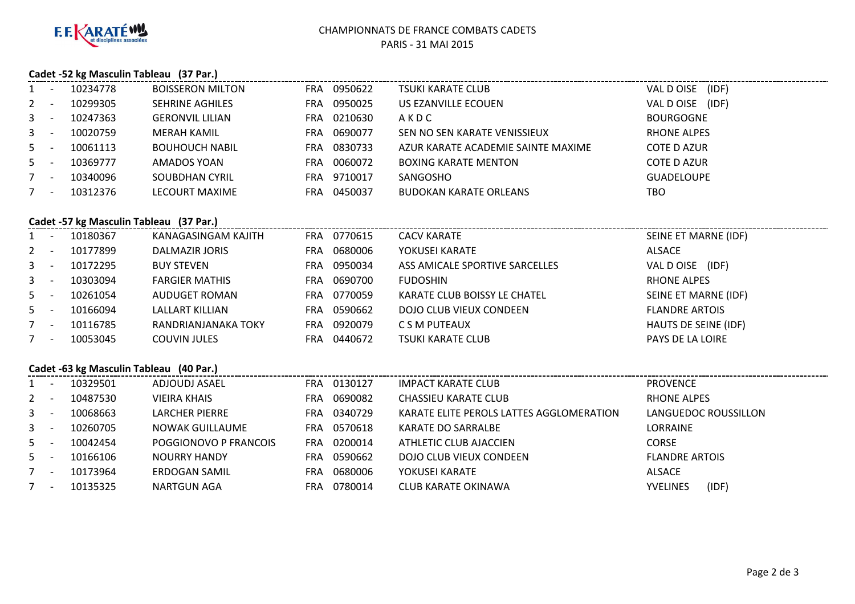

#### CHAMPIONNATS DE FRANCE COMBATS CADETSPARIS - 31 MAI 2015

# **Cadet -52 kg Masculin Tableau (37 Par.)**

| $1 -$   |                          | 10234778 | <b>BOISSERON MILTON</b> | FRA. | 0950622 | TSUKI KARATE CLUB                  | (IDF)<br>VAL DOISE  |
|---------|--------------------------|----------|-------------------------|------|---------|------------------------------------|---------------------|
| $2 -$   |                          | 10299305 | <b>SEHRINE AGHILES</b>  | FRA. | 0950025 | US EZANVILLE ECOUEN                | (IDF)<br>VAL D OISE |
| $3 - 5$ |                          | 10247363 | <b>GERONVIL LILIAN</b>  | FRA. | 0210630 | AKDC                               | <b>BOURGOGNE</b>    |
| $3 - 1$ |                          | 10020759 | MERAH KAMIL             | FRA. | 0690077 | SEN NO SEN KARATE VENISSIEUX       | <b>RHONE ALPES</b>  |
| $5 -$   |                          | 10061113 | <b>BOUHOUCH NABIL</b>   | FRA. | 0830733 | AZUR KARATE ACADEMIE SAINTE MAXIME | COTE D AZUR         |
| $5 -$   |                          | 10369777 | AMADOS YOAN             | FRA. | 0060072 | <b>BOXING KARATE MENTON</b>        | <b>COTE D AZUR</b>  |
|         | $\overline{\phantom{0}}$ | 10340096 | <b>SOUBDHAN CYRIL</b>   | FRA. | 9710017 | SANGOSHO                           | <b>GUADELOUPE</b>   |
|         | $\overline{\phantom{a}}$ | 10312376 | LECOURT MAXIME          | FRA. | 0450037 | <b>BUDOKAN KARATE ORLEANS</b>      | TBO                 |
|         |                          |          |                         |      |         |                                    |                     |

## **Cadet -57 kg Masculin Tableau (37 Par.)**

|         | Cauct -37 Kg Masculiii Tableau (37 Fail) |          |                       |            |         |                                |                       |  |  |  |  |
|---------|------------------------------------------|----------|-----------------------|------------|---------|--------------------------------|-----------------------|--|--|--|--|
| $1 -$   |                                          | 10180367 | KANAGASINGAM KAJITH   | FRA        | 0770615 | <b>CACV KARATE</b>             | SEINE ET MARNE (IDF)  |  |  |  |  |
| $2 -$   |                                          | 10177899 | DALMAZIR JORIS        | <b>FRA</b> | 0680006 | YOKUSEI KARATE                 | ALSACE                |  |  |  |  |
| $3 - 5$ |                                          | 10172295 | <b>BUY STEVEN</b>     | <b>FRA</b> | 0950034 | ASS AMICALE SPORTIVE SARCELLES | VAL D OISE (IDF)      |  |  |  |  |
| $3 - 5$ |                                          | 10303094 | <b>FARGIER MATHIS</b> | <b>FRA</b> | 0690700 | <b>FUDOSHIN</b>                | RHONE ALPES           |  |  |  |  |
| $5 -$   |                                          | 10261054 | AUDUGET ROMAN         | <b>FRA</b> | 0770059 | KARATE CLUB BOISSY LE CHATEL   | SEINE ET MARNE (IDF)  |  |  |  |  |
| $5 -$   |                                          | 10166094 | LALLART KILLIAN       | <b>FRA</b> | 0590662 | DOJO CLUB VIEUX CONDEEN        | <b>FLANDRE ARTOIS</b> |  |  |  |  |
| $7 -$   |                                          | 10116785 | RANDRIANJANAKA TOKY   | <b>FRA</b> | 0920079 | C S M PUTEAUX                  | HAUTS DE SEINE (IDF)  |  |  |  |  |
| $7 -$   |                                          | 10053045 | <b>COUVIN JULES</b>   | <b>FRA</b> | 0440672 | <b>TSUKI KARATE CLUB</b>       | PAYS DE LA LOIRE      |  |  |  |  |
|         |                                          |          |                       |            |         |                                |                       |  |  |  |  |

## **Cadet -63 kg Masculin Tableau (40 Par.)**

| $1 -$   | 10329501 | ADJOUDJ ASAEL         | FRA.       | 0130127 | IMPACT KARATE CLUB                       | <b>PROVENCE</b>          |
|---------|----------|-----------------------|------------|---------|------------------------------------------|--------------------------|
| $2 -$   | 10487530 | <b>VIEIRA KHAIS</b>   | <b>FRA</b> | 0690082 | <b>CHASSIEU KARATE CLUB</b>              | RHONE ALPES              |
| $3 - -$ | 10068663 | <b>LARCHER PIERRE</b> | FRA.       | 0340729 | KARATE ELITE PEROLS LATTES AGGLOMERATION | LANGUEDOC ROUSSILLON     |
| $3 -$   | 10260705 | NOWAK GUILLAUME       | FRA        | 0570618 | KARATE DO SARRALBE                       | LORRAINE                 |
| $5 -$   | 10042454 | POGGIONOVO P FRANCOIS | FRA        | 0200014 | ATHLETIC CLUB AJACCIEN                   | CORSE                    |
| $5 -$   | 10166106 | <b>NOURRY HANDY</b>   | FRA        | 0590662 | DOJO CLUB VIEUX CONDEEN                  | <b>FLANDRE ARTOIS</b>    |
| $7 -$   | 10173964 | ERDOGAN SAMIL         | <b>FRA</b> | 0680006 | YOKUSEI KARATE                           | ALSACE                   |
| $7 -$   | 10135325 | <b>NARTGUN AGA</b>    | <b>FRA</b> | 0780014 | CLUB KARATE OKINAWA                      | (IDF)<br><b>YVELINES</b> |
|         |          |                       |            |         |                                          |                          |

---